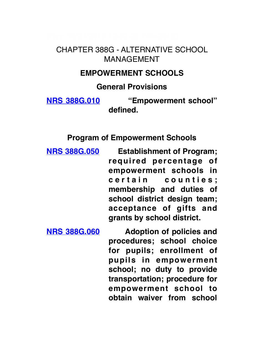## CHAPTER 388G - ALTERNATIVE SCHOOL MANAGEMENT

#### **EMPOWERMENT SCHOOLS**

#### **General Provisions**

**NRS 388G.010 "Empowerment school" defined.**

#### **Program of Empowerment Schools**

**NRS 388G.050 Establishment of Program; required percentage of empowerment schools in**  c e r t a in counties; **membership and duties of school district design team; acceptance of gifts and grants by school district.**

**NRS 388G.060 Adoption of policies and procedures; school choice for pupils; enrollment of pupils in empowerment school; no duty to provide transportation; procedure for empowerment school to obtain waiver from school**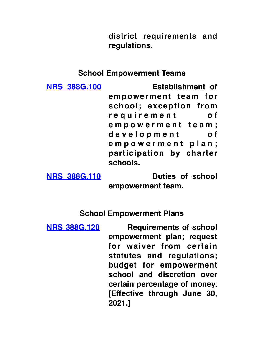**district requirements and regulations.**

### **School Empowerment Teams**

| <b>NRS 388G.100</b> | <b>Establishment of</b>  |
|---------------------|--------------------------|
|                     | empowerment team for     |
|                     | school; exception from   |
|                     | requirement<br>o f       |
|                     | empowerment team;        |
|                     | development<br>o f       |
|                     | empowerment plan;        |
|                     | participation by charter |
|                     | schools.                 |

**NRS 388G.110 Duties of school** 

**empowerment team.**

**School Empowerment Plans**

**NRS 388G.120 Requirements of school empowerment plan; request for waiver from certain statutes and regulations; budget for empowerment school and discretion over certain percentage of money. [Effective through June 30, 2021.]**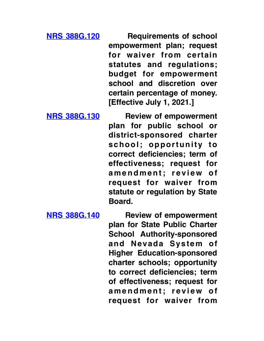**NRS 388G.120 Requirements of school empowerment plan; request for waiver from certain statutes and regulations; budget for empowerment school and discretion over certain percentage of money. [Effective July 1, 2021.]**

**NRS 388G.130 Review of empowerment plan for public school or district-sponsored charter school; opportunity to correct deficiencies; term of effectiveness; request for**  amendment; review of **request for waiver from statute or regulation by State Board.**

**NRS 388G.140 Review of empowerment plan for State Public Charter School Authority-sponsored and Nevada System of Higher Education-sponsored charter schools; opportunity to correct deficiencies; term of effectiveness; request for**  amendment; review of **request for waiver from**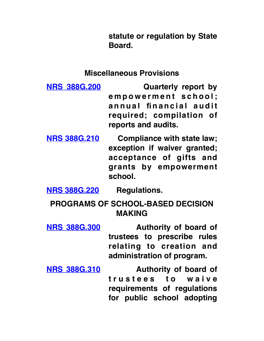**statute or regulation by State Board.**

#### **Miscellaneous Provisions**

- **NRS 388G.200 Quarterly report by e m p o w e r m e n t s c h o o l ;**  annual financial audit **required; compilation of reports and audits.**
- **NRS 388G.210 Compliance with state law; exception if waiver granted; acceptance of gifts and grants by empowerment school.**

**NRS 388G.220 Regulations.**

**PROGRAMS OF SCHOOL-BASED DECISION MAKING**

- **NRS 388G.300 Authority of board of trustees to prescribe rules relating to creation and administration of program.**
- **NRS 388G.310 Authority of board of t r u s t e e s t o w a i v e requirements of regulations for public school adopting**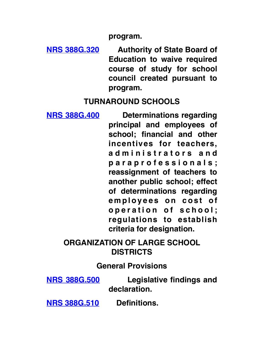**program.**

**NRS 388G.320 Authority of State Board of Education to waive required course of study for school council created pursuant to program.**

### **TURNAROUND SCHOOLS**

**NRS 388G.400 Determinations regarding principal and employees of school; financial and other incentives for teachers, a d m i n i s t r a t o r s a n d p a r a p r o f e s s i o n a l s ; reassignment of teachers to another public school; effect of determinations regarding**  employees on cost of operation of school; **regulations to establish criteria for designation.**

# **ORGANIZATION OF LARGE SCHOOL DISTRICTS**

### **General Provisions**

**NRS 388G.500 Legislative findings and declaration.**

**NRS 388G.510 Definitions.**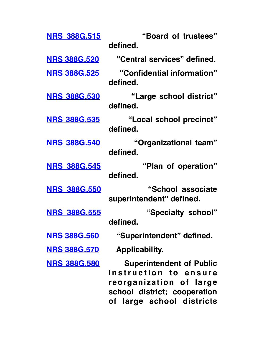| <b>NRS 388G.515</b> | "Board of trustees"<br>defined.                                                                                                                  |
|---------------------|--------------------------------------------------------------------------------------------------------------------------------------------------|
|                     |                                                                                                                                                  |
| <b>NRS 388G.520</b> | "Central services" defined.                                                                                                                      |
| <b>NRS 388G.525</b> | "Confidential information"<br>defined.                                                                                                           |
| <b>NRS 388G.530</b> | "Large school district"<br>defined.                                                                                                              |
| <b>NRS 388G.535</b> | "Local school precinct"<br>defined.                                                                                                              |
| <b>NRS 388G.540</b> | "Organizational team"<br>defined.                                                                                                                |
| <b>NRS 388G.545</b> | "Plan of operation"<br>defined.                                                                                                                  |
| <b>NRS 388G.550</b> | "School associate<br>superintendent" defined.                                                                                                    |
| <b>NRS 388G.555</b> | "Specialty school"<br>defined.                                                                                                                   |
| <b>NRS 388G.560</b> | "Superintendent" defined.                                                                                                                        |
| <b>NRS 388G.570</b> | <b>Applicability.</b>                                                                                                                            |
| <b>NRS 388G.580</b> | <b>Superintendent of Public</b><br>Instruction to ensure<br>reorganization of large<br>school district; cooperation<br>of large school districts |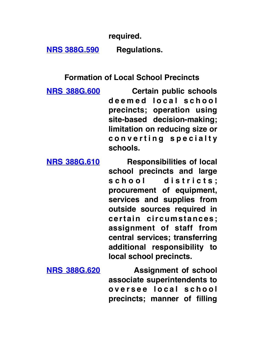**required.**

**NRS 388G.590 Regulations.**

**Formation of Local School Precincts**

**NRS 388G.600 Certain public schools**  deemed local school **precincts; operation using site-based decision-making; limitation on reducing size or c o n v e r t i n g s p e c i a l t y schools.**

**NRS 388G.610 Responsibilities of local school precincts and large**  school districts; **procurement of equipment, services and supplies from outside sources required in certain circumstances; assignment of staff from central services; transferring additional responsibility to local school precincts.**

**NRS 388G.620 Assignment of school associate superintendents to o v e r s e e l o c a l s c h o o l precincts; manner of filling**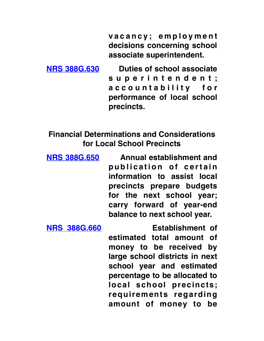**v a c a n c y ; e m p l o y m e n t decisions concerning school associate superintendent.**

**NRS 388G.630 Duties of school associate s u p e r i n t e n d e n t ; a c c o u n t a b i l i t y f o r performance of local school precincts.**

**Financial Determinations and Considerations for Local School Precincts**

**NRS 388G.650 Annual establishment and**  publication of certain **information to assist local precincts prepare budgets for the next school year; carry forward of year-end balance to next school year.**

**NRS 388G.660 Establishment of** 

**estimated total amount of money to be received by large school districts in next school year and estimated percentage to be allocated to local school precincts; requirements regarding amount of money to be**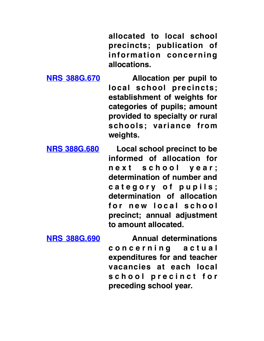**allocated to local school precincts; publication of information concerning allocations.**

**NRS 388G.670 Allocation per pupil to local school precincts; establishment of weights for categories of pupils; amount provided to specialty or rural schools; variance from weights.**

**NRS 388G.680 Local school precinct to be informed of allocation for n e x t s c h o o l y e a r ; determination of number and**  category of pupils: **determination of allocation**  for new local school **precinct; annual adjustment to amount allocated.**

**NRS 388G.690 Annual determinations c o n c e r n i n g a c t u a l expenditures for and teacher vacancies at each local**  school precinct for **preceding school year.**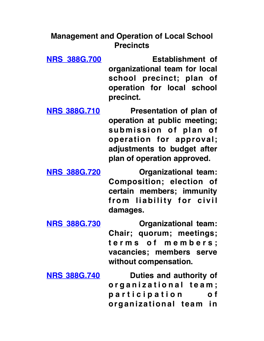## **Management and Operation of Local School Precincts**

**NRS 388G.700 Establishment of organizational team for local school precinct; plan of operation for local school precinct.**

**NRS 388G.710 Presentation of plan of operation at public meeting;**  submission of plan of **operation for approval; adjustments to budget after plan of operation approved.**

**NRS 388G.720 Organizational team: Composition; election of certain members; immunity**  from liability for civil **damages.**

**NRS 388G.730 Organizational team: Chair; quorum; meetings; t e r m s o f m e m b e r s ; vacancies; members serve without compensation.**

**NRS 388G.740 Duties and authority of o r g a n i z a t i o n a l t e a m ; p a r t i c i p a t i o n o f organizational team in**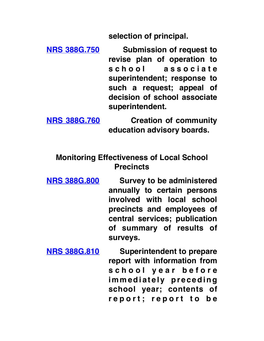**selection of principal.**

**NRS 388G.750 Submission of request to revise plan of operation to s c h o o l a s s o c i a t e superintendent; response to such a request; appeal of decision of school associate superintendent.**

**NRS 388G.760 Creation of community education advisory boards.**

### **Monitoring Effectiveness of Local School Precincts**

- **NRS 388G.800 Survey to be administered annually to certain persons involved with local school precincts and employees of central services; publication of summary of results of surveys.**
- **NRS 388G.810 Superintendent to prepare report with information from s c h o o l y e a r b e f o r e i m m e d i a t e l y p r e c e d i n g school year; contents of r e p o r t ; r e p o r t t o b e**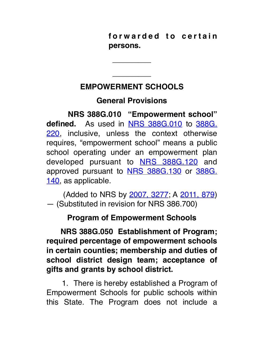forwarded to certain **persons.**

# **EMPOWERMENT SCHOOLS**

\_\_\_\_\_\_\_\_\_

\_\_\_\_\_\_\_\_\_

# **General Provisions**

 **NRS 388G.010 "Empowerment school" defined.**  As used in NRS 388G.010 to 388G. 220, inclusive, unless the context otherwise requires, "empowerment school" means a public school operating under an empowerment plan developed pursuant to **NRS 388G.120** and approved pursuant to **NRS 388G.130** or 388G. 140, as applicable.

 (Added to NRS by 2007, 3277; A 2011, 879) — (Substituted in revision for NRS 386.700)

# **Program of Empowerment Schools**

 **NRS 388G.050 Establishment of Program; required percentage of empowerment schools in certain counties; membership and duties of school district design team; acceptance of gifts and grants by school district.**

 1. There is hereby established a Program of Empowerment Schools for public schools within this State. The Program does not include a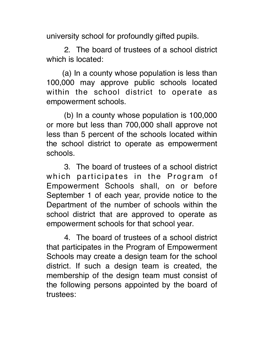university school for profoundly gifted pupils.

 2. The board of trustees of a school district which is located:

 (a) In a county whose population is less than 100,000 may approve public schools located within the school district to operate as empowerment schools.

 (b) In a county whose population is 100,000 or more but less than 700,000 shall approve not less than 5 percent of the schools located within the school district to operate as empowerment schools.

 3. The board of trustees of a school district which participates in the Program of Empowerment Schools shall, on or before September 1 of each year, provide notice to the Department of the number of schools within the school district that are approved to operate as empowerment schools for that school year.

 4. The board of trustees of a school district that participates in the Program of Empowerment Schools may create a design team for the school district. If such a design team is created, the membership of the design team must consist of the following persons appointed by the board of trustees: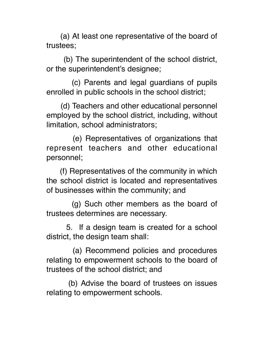(a) At least one representative of the board of trustees;

 (b) The superintendent of the school district, or the superintendent's designee;

 (c) Parents and legal guardians of pupils enrolled in public schools in the school district;

 (d) Teachers and other educational personnel employed by the school district, including, without limitation, school administrators;

 (e) Representatives of organizations that represent teachers and other educational personnel;

 (f) Representatives of the community in which the school district is located and representatives of businesses within the community; and

 (g) Such other members as the board of trustees determines are necessary.

 5. If a design team is created for a school district, the design team shall:

 (a) Recommend policies and procedures relating to empowerment schools to the board of trustees of the school district; and

 (b) Advise the board of trustees on issues relating to empowerment schools.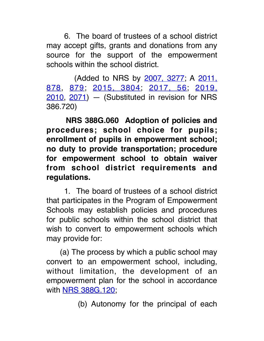6. The board of trustees of a school district may accept gifts, grants and donations from any source for the support of the empowerment schools within the school district.

 (Added to NRS by 2007, 3277; A 2011, 878, 879; 2015, 3804; 2017, 56; 2019, 2010, 2071) - (Substituted in revision for NRS 386.720)

 **NRS 388G.060 Adoption of policies and procedures; school choice for pupils; enrollment of pupils in empowerment school; no duty to provide transportation; procedure for empowerment school to obtain waiver from school district requirements and regulations.**

 1. The board of trustees of a school district that participates in the Program of Empowerment Schools may establish policies and procedures for public schools within the school district that wish to convert to empowerment schools which may provide for:

 (a) The process by which a public school may convert to an empowerment school, including, without limitation, the development of an empowerment plan for the school in accordance with **NRS 388G.120**;

(b) Autonomy for the principal of each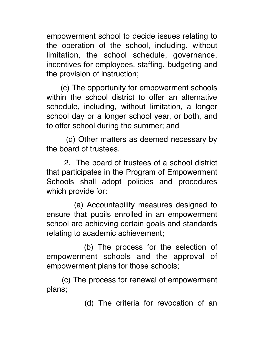empowerment school to decide issues relating to the operation of the school, including, without limitation, the school schedule, governance, incentives for employees, staffing, budgeting and the provision of instruction;

 (c) The opportunity for empowerment schools within the school district to offer an alternative schedule, including, without limitation, a longer school day or a longer school year, or both, and to offer school during the summer; and

 (d) Other matters as deemed necessary by the board of trustees.

 2. The board of trustees of a school district that participates in the Program of Empowerment Schools shall adopt policies and procedures which provide for:

 (a) Accountability measures designed to ensure that pupils enrolled in an empowerment school are achieving certain goals and standards relating to academic achievement;

 (b) The process for the selection of empowerment schools and the approval of empowerment plans for those schools;

 (c) The process for renewal of empowerment plans;

(d) The criteria for revocation of an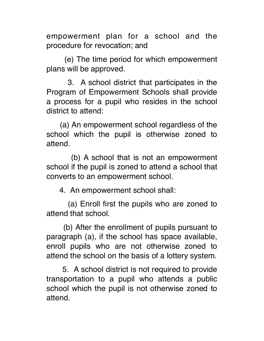empowerment plan for a school and the procedure for revocation; and

 (e) The time period for which empowerment plans will be approved.

 3. A school district that participates in the Program of Empowerment Schools shall provide a process for a pupil who resides in the school district to attend:

 (a) An empowerment school regardless of the school which the pupil is otherwise zoned to attend.

 (b) A school that is not an empowerment school if the pupil is zoned to attend a school that converts to an empowerment school.

4. An empowerment school shall:

 (a) Enroll first the pupils who are zoned to attend that school.

 (b) After the enrollment of pupils pursuant to paragraph (a), if the school has space available, enroll pupils who are not otherwise zoned to attend the school on the basis of a lottery system.

 5. A school district is not required to provide transportation to a pupil who attends a public school which the pupil is not otherwise zoned to attend.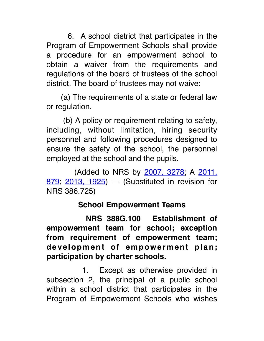6. A school district that participates in the Program of Empowerment Schools shall provide a procedure for an empowerment school to obtain a waiver from the requirements and regulations of the board of trustees of the school district. The board of trustees may not waive:

 (a) The requirements of a state or federal law or regulation.

 (b) A policy or requirement relating to safety, including, without limitation, hiring security personnel and following procedures designed to ensure the safety of the school, the personnel employed at the school and the pupils.

 (Added to NRS by 2007, 3278; A 2011, 879; 2013, 1925) — (Substituted in revision for NRS 386.725)

## **School Empowerment Teams**

 **NRS 388G.100 Establishment of empowerment team for school; exception from requirement of empowerment team; development of empowerment plan; participation by charter schools.**

1. Except as otherwise provided in subsection 2, the principal of a public school within a school district that participates in the Program of Empowerment Schools who wishes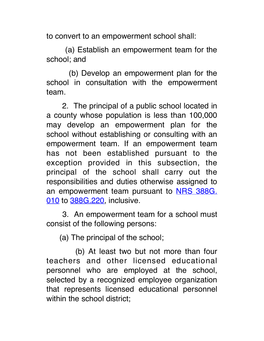to convert to an empowerment school shall:

 (a) Establish an empowerment team for the school; and

 (b) Develop an empowerment plan for the school in consultation with the empowerment team.

 2. The principal of a public school located in a county whose population is less than 100,000 may develop an empowerment plan for the school without establishing or consulting with an empowerment team. If an empowerment team has not been established pursuant to the exception provided in this subsection, the principal of the school shall carry out the responsibilities and duties otherwise assigned to an empowerment team pursuant to NRS 388G. 010 to 388G.220, inclusive.

 3. An empowerment team for a school must consist of the following persons:

(a) The principal of the school;

 (b) At least two but not more than four teachers and other licensed educational personnel who are employed at the school, selected by a recognized employee organization that represents licensed educational personnel within the school district;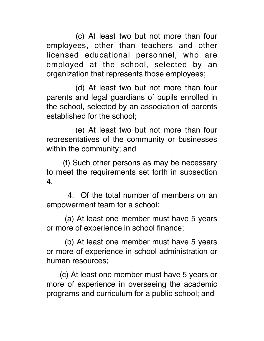(c) At least two but not more than four employees, other than teachers and other licensed educational personnel, who are employed at the school, selected by an organization that represents those employees;

 (d) At least two but not more than four parents and legal guardians of pupils enrolled in the school, selected by an association of parents established for the school;

 (e) At least two but not more than four representatives of the community or businesses within the community; and

 (f) Such other persons as may be necessary to meet the requirements set forth in subsection 4.

 4. Of the total number of members on an empowerment team for a school:

 (a) At least one member must have 5 years or more of experience in school finance;

 (b) At least one member must have 5 years or more of experience in school administration or human resources;

 (c) At least one member must have 5 years or more of experience in overseeing the academic programs and curriculum for a public school; and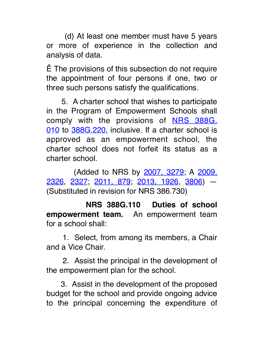(d) At least one member must have 5 years or more of experience in the collection and analysis of data.

Ê The provisions of this subsection do not require the appointment of four persons if one, two or three such persons satisfy the qualifications.

 5. A charter school that wishes to participate in the Program of Empowerment Schools shall comply with the provisions of NRS 388G. 010 to 388G.220, inclusive. If a charter school is approved as an empowerment school, the charter school does not forfeit its status as a charter school.

 (Added to NRS by 2007, 3279; A 2009, 2326, 2327; 2011, 879; 2013, 1926, 3806) — (Substituted in revision for NRS 386.730)

 **NRS 388G.110 Duties of school empowerment team.** An empowerment team for a school shall:

 1. Select, from among its members, a Chair and a Vice Chair.

 2. Assist the principal in the development of the empowerment plan for the school.

 3. Assist in the development of the proposed budget for the school and provide ongoing advice to the principal concerning the expenditure of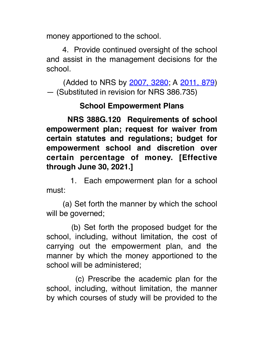money apportioned to the school.

 4. Provide continued oversight of the school and assist in the management decisions for the school.

 (Added to NRS by 2007, 3280; A 2011, 879) — (Substituted in revision for NRS 386.735)

### **School Empowerment Plans**

 **NRS 388G.120 Requirements of school empowerment plan; request for waiver from certain statutes and regulations; budget for empowerment school and discretion over certain percentage of money. [Effective through June 30, 2021.]**

 1. Each empowerment plan for a school must:

 (a) Set forth the manner by which the school will be governed;

 (b) Set forth the proposed budget for the school, including, without limitation, the cost of carrying out the empowerment plan, and the manner by which the money apportioned to the school will be administered;

 (c) Prescribe the academic plan for the school, including, without limitation, the manner by which courses of study will be provided to the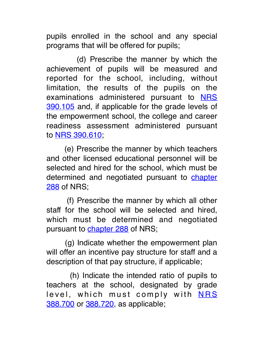pupils enrolled in the school and any special programs that will be offered for pupils;

 (d) Prescribe the manner by which the achievement of pupils will be measured and reported for the school, including, without limitation, the results of the pupils on the examinations administered pursuant to NRS 390.105 and, if applicable for the grade levels of the empowerment school, the college and career readiness assessment administered pursuant to NRS 390.610;

 (e) Prescribe the manner by which teachers and other licensed educational personnel will be selected and hired for the school, which must be determined and negotiated pursuant to chapter 288 of NRS;

 (f) Prescribe the manner by which all other staff for the school will be selected and hired, which must be determined and negotiated pursuant to chapter 288 of NRS;

 (g) Indicate whether the empowerment plan will offer an incentive pay structure for staff and a description of that pay structure, if applicable;

 (h) Indicate the intended ratio of pupils to teachers at the school, designated by grade level, which must comply with **NRS** 388.700 or 388.720, as applicable;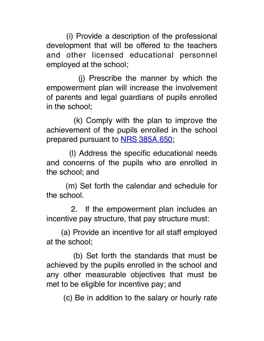(i) Provide a description of the professional development that will be offered to the teachers and other licensed educational personnel employed at the school;

 (j) Prescribe the manner by which the empowerment plan will increase the involvement of parents and legal guardians of pupils enrolled in the school;

 (k) Comply with the plan to improve the achievement of the pupils enrolled in the school prepared pursuant to **NRS 385A.650**;

 (l) Address the specific educational needs and concerns of the pupils who are enrolled in the school; and

 (m) Set forth the calendar and schedule for the school.

 2. If the empowerment plan includes an incentive pay structure, that pay structure must:

 (a) Provide an incentive for all staff employed at the school;

 (b) Set forth the standards that must be achieved by the pupils enrolled in the school and any other measurable objectives that must be met to be eligible for incentive pay; and

(c) Be in addition to the salary or hourly rate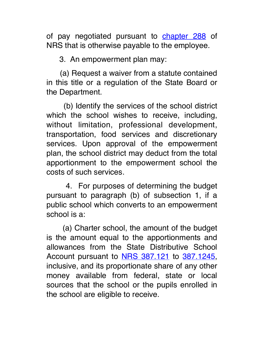of pay negotiated pursuant to **chapter 288** of NRS that is otherwise payable to the employee.

3. An empowerment plan may:

 (a) Request a waiver from a statute contained in this title or a regulation of the State Board or the Department.

 (b) Identify the services of the school district which the school wishes to receive, including, without limitation, professional development, transportation, food services and discretionary services. Upon approval of the empowerment plan, the school district may deduct from the total apportionment to the empowerment school the costs of such services.

 4. For purposes of determining the budget pursuant to paragraph (b) of subsection 1, if a public school which converts to an empowerment school is a:

 (a) Charter school, the amount of the budget is the amount equal to the apportionments and allowances from the State Distributive School Account pursuant to NRS 387.121 to 387.1245, inclusive, and its proportionate share of any other money available from federal, state or local sources that the school or the pupils enrolled in the school are eligible to receive.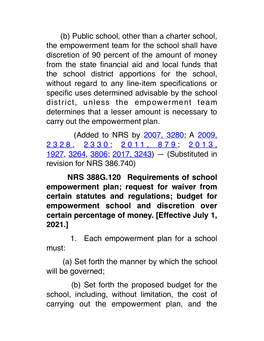(b) Public school, other than a charter school, the empowerment team for the school shall have discretion of 90 percent of the amount of money from the state financial aid and local funds that the school district apportions for the school, without regard to any line-item specifications or specific uses determined advisable by the school district, unless the empowerment team determines that a lesser amount is necessary to carry out the empowerment plan.

 (Added to NRS by 2007, 3280; A 2009, 2328, 2330, 2011, 879, 2013, 1927, 3264, 3806; 2017, 3243) — (Substituted in revision for NRS 386.740)

 **NRS 388G.120 Requirements of school empowerment plan; request for waiver from certain statutes and regulations; budget for empowerment school and discretion over certain percentage of money. [Effective July 1, 2021.]**

 1. Each empowerment plan for a school must:

 (a) Set forth the manner by which the school will be governed;

 (b) Set forth the proposed budget for the school, including, without limitation, the cost of carrying out the empowerment plan, and the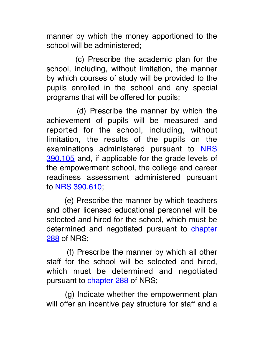manner by which the money apportioned to the school will be administered;

 (c) Prescribe the academic plan for the school, including, without limitation, the manner by which courses of study will be provided to the pupils enrolled in the school and any special programs that will be offered for pupils;

 (d) Prescribe the manner by which the achievement of pupils will be measured and reported for the school, including, without limitation, the results of the pupils on the examinations administered pursuant to NRS 390.105 and, if applicable for the grade levels of the empowerment school, the college and career readiness assessment administered pursuant to NRS 390.610;

 (e) Prescribe the manner by which teachers and other licensed educational personnel will be selected and hired for the school, which must be determined and negotiated pursuant to chapter 288 of NRS;

 (f) Prescribe the manner by which all other staff for the school will be selected and hired, which must be determined and negotiated pursuant to chapter 288 of NRS;

 (g) Indicate whether the empowerment plan will offer an incentive pay structure for staff and a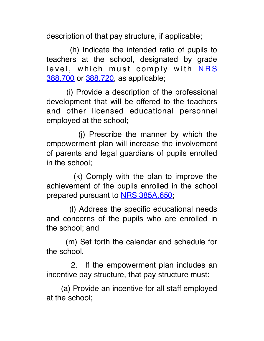description of that pay structure, if applicable;

 (h) Indicate the intended ratio of pupils to teachers at the school, designated by grade level, which must comply with NRS 388.700 or 388.720, as applicable;

 (i) Provide a description of the professional development that will be offered to the teachers and other licensed educational personnel employed at the school;

 (j) Prescribe the manner by which the empowerment plan will increase the involvement of parents and legal guardians of pupils enrolled in the school;

 (k) Comply with the plan to improve the achievement of the pupils enrolled in the school prepared pursuant to **NRS 385A.650**;

 (l) Address the specific educational needs and concerns of the pupils who are enrolled in the school; and

 (m) Set forth the calendar and schedule for the school.

 2. If the empowerment plan includes an incentive pay structure, that pay structure must:

 (a) Provide an incentive for all staff employed at the school;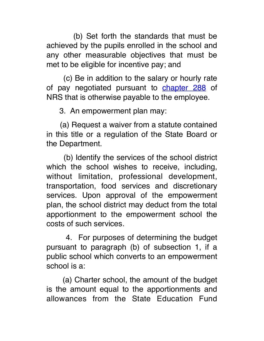(b) Set forth the standards that must be achieved by the pupils enrolled in the school and any other measurable objectives that must be met to be eligible for incentive pay; and

 (c) Be in addition to the salary or hourly rate of pay negotiated pursuant to **chapter 288** of NRS that is otherwise payable to the employee.

3. An empowerment plan may:

 (a) Request a waiver from a statute contained in this title or a regulation of the State Board or the Department.

 (b) Identify the services of the school district which the school wishes to receive, including, without limitation, professional development, transportation, food services and discretionary services. Upon approval of the empowerment plan, the school district may deduct from the total apportionment to the empowerment school the costs of such services.

 4. For purposes of determining the budget pursuant to paragraph (b) of subsection 1, if a public school which converts to an empowerment school is a:

 (a) Charter school, the amount of the budget is the amount equal to the apportionments and allowances from the State Education Fund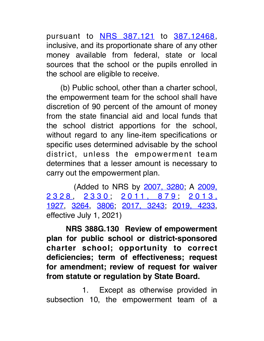pursuant to NRS 387.121 to 387.12468, inclusive, and its proportionate share of any other money available from federal, state or local sources that the school or the pupils enrolled in the school are eligible to receive.

 (b) Public school, other than a charter school, the empowerment team for the school shall have discretion of 90 percent of the amount of money from the state financial aid and local funds that the school district apportions for the school, without regard to any line-item specifications or specific uses determined advisable by the school district, unless the empowerment team determines that a lesser amount is necessary to carry out the empowerment plan.

 (Added to NRS by 2007, 3280; A 2009, 2328, 2330, 2011, 879, 2013, 1927, 3264, 3806; 2017, 3243; 2019, 4233, effective July 1, 2021)

 **NRS 388G.130 Review of empowerment plan for public school or district-sponsored charter school; opportunity to correct deficiencies; term of effectiveness; request for amendment; review of request for waiver from statute or regulation by State Board.**

1. Except as otherwise provided in subsection 10, the empowerment team of a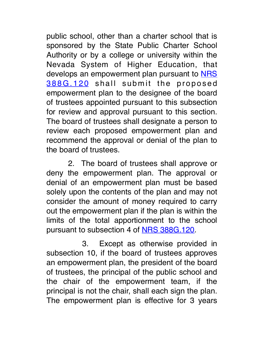public school, other than a charter school that is sponsored by the State Public Charter School Authority or by a college or university within the Nevada System of Higher Education, that develops an empowerment plan pursuant to **NRS** 388G.120 shall submit the proposed empowerment plan to the designee of the board of trustees appointed pursuant to this subsection for review and approval pursuant to this section. The board of trustees shall designate a person to review each proposed empowerment plan and recommend the approval or denial of the plan to the board of trustees.

 2. The board of trustees shall approve or deny the empowerment plan. The approval or denial of an empowerment plan must be based solely upon the contents of the plan and may not consider the amount of money required to carry out the empowerment plan if the plan is within the limits of the total apportionment to the school pursuant to subsection 4 of NRS 388G.120.

 3. Except as otherwise provided in subsection 10, if the board of trustees approves an empowerment plan, the president of the board of trustees, the principal of the public school and the chair of the empowerment team, if the principal is not the chair, shall each sign the plan. The empowerment plan is effective for 3 years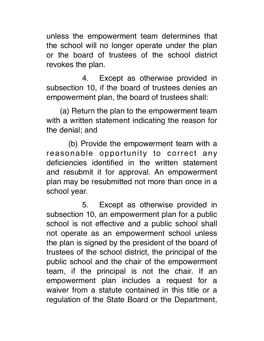unless the empowerment team determines that the school will no longer operate under the plan or the board of trustees of the school district revokes the plan.

4. Except as otherwise provided in subsection 10, if the board of trustees denies an empowerment plan, the board of trustees shall:

 (a) Return the plan to the empowerment team with a written statement indicating the reason for the denial; and

 (b) Provide the empowerment team with a reasonable opportunity to correct any deficiencies identified in the written statement and resubmit it for approval. An empowerment plan may be resubmitted not more than once in a school year.

 5. Except as otherwise provided in subsection 10, an empowerment plan for a public school is not effective and a public school shall not operate as an empowerment school unless the plan is signed by the president of the board of trustees of the school district, the principal of the public school and the chair of the empowerment team, if the principal is not the chair. If an empowerment plan includes a request for a waiver from a statute contained in this title or a regulation of the State Board or the Department,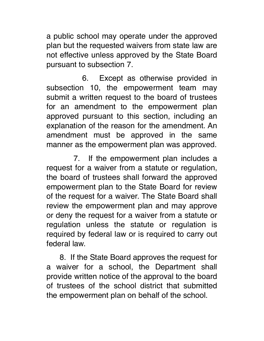a public school may operate under the approved plan but the requested waivers from state law are not effective unless approved by the State Board pursuant to subsection 7.

 6. Except as otherwise provided in subsection 10, the empowerment team may submit a written request to the board of trustees for an amendment to the empowerment plan approved pursuant to this section, including an explanation of the reason for the amendment. An amendment must be approved in the same manner as the empowerment plan was approved.

7. If the empowerment plan includes a request for a waiver from a statute or regulation, the board of trustees shall forward the approved empowerment plan to the State Board for review of the request for a waiver. The State Board shall review the empowerment plan and may approve or deny the request for a waiver from a statute or regulation unless the statute or regulation is required by federal law or is required to carry out federal law.

 8. If the State Board approves the request for a waiver for a school, the Department shall provide written notice of the approval to the board of trustees of the school district that submitted the empowerment plan on behalf of the school.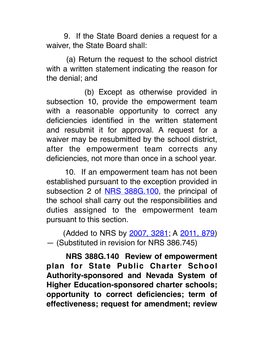9. If the State Board denies a request for a waiver, the State Board shall:

 (a) Return the request to the school district with a written statement indicating the reason for the denial; and

 (b) Except as otherwise provided in subsection 10, provide the empowerment team with a reasonable opportunity to correct any deficiencies identified in the written statement and resubmit it for approval. A request for a waiver may be resubmitted by the school district, after the empowerment team corrects any deficiencies, not more than once in a school year.

 10. If an empowerment team has not been established pursuant to the exception provided in subsection 2 of NRS 388G.100, the principal of the school shall carry out the responsibilities and duties assigned to the empowerment team pursuant to this section.

 (Added to NRS by 2007, 3281; A 2011, 879) — (Substituted in revision for NRS 386.745)

 **NRS 388G.140 Review of empowerment plan for State Public Charter School Authority-sponsored and Nevada System of Higher Education-sponsored charter schools; opportunity to correct deficiencies; term of effectiveness; request for amendment; review**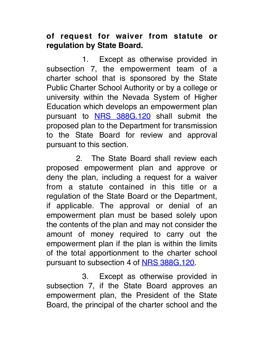## **of request for waiver from statute or regulation by State Board.**

1. Except as otherwise provided in subsection 7, the empowerment team of a charter school that is sponsored by the State Public Charter School Authority or by a college or university within the Nevada System of Higher Education which develops an empowerment plan pursuant to **NRS 388G.120** shall submit the proposed plan to the Department for transmission to the State Board for review and approval pursuant to this section.

2. The State Board shall review each proposed empowerment plan and approve or deny the plan, including a request for a waiver from a statute contained in this title or a regulation of the State Board or the Department, if applicable. The approval or denial of an empowerment plan must be based solely upon the contents of the plan and may not consider the amount of money required to carry out the empowerment plan if the plan is within the limits of the total apportionment to the charter school pursuant to subsection 4 of NRS 388G.120.

3. Except as otherwise provided in subsection 7, if the State Board approves an empowerment plan, the President of the State Board, the principal of the charter school and the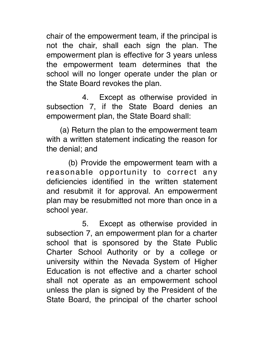chair of the empowerment team, if the principal is not the chair, shall each sign the plan. The empowerment plan is effective for 3 years unless the empowerment team determines that the school will no longer operate under the plan or the State Board revokes the plan.

4. Except as otherwise provided in subsection 7, if the State Board denies an empowerment plan, the State Board shall:

 (a) Return the plan to the empowerment team with a written statement indicating the reason for the denial; and

 (b) Provide the empowerment team with a reasonable opportunity to correct any deficiencies identified in the written statement and resubmit it for approval. An empowerment plan may be resubmitted not more than once in a school year.

5. Except as otherwise provided in subsection 7, an empowerment plan for a charter school that is sponsored by the State Public Charter School Authority or by a college or university within the Nevada System of Higher Education is not effective and a charter school shall not operate as an empowerment school unless the plan is signed by the President of the State Board, the principal of the charter school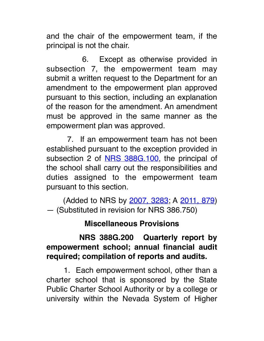and the chair of the empowerment team, if the principal is not the chair.

 6. Except as otherwise provided in subsection 7, the empowerment team may submit a written request to the Department for an amendment to the empowerment plan approved pursuant to this section, including an explanation of the reason for the amendment. An amendment must be approved in the same manner as the empowerment plan was approved.

 7. If an empowerment team has not been established pursuant to the exception provided in subsection 2 of NRS 388G.100, the principal of the school shall carry out the responsibilities and duties assigned to the empowerment team pursuant to this section.

 (Added to NRS by 2007, 3283; A 2011, 879) — (Substituted in revision for NRS 386.750)

### **Miscellaneous Provisions**

### **NRS 388G.200 Quarterly report by empowerment school; annual financial audit required; compilation of reports and audits.**

 1. Each empowerment school, other than a charter school that is sponsored by the State Public Charter School Authority or by a college or university within the Nevada System of Higher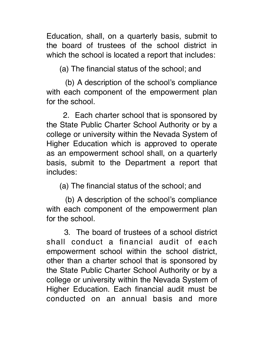Education, shall, on a quarterly basis, submit to the board of trustees of the school district in which the school is located a report that includes:

(a) The financial status of the school; and

 (b) A description of the school's compliance with each component of the empowerment plan for the school.

 2. Each charter school that is sponsored by the State Public Charter School Authority or by a college or university within the Nevada System of Higher Education which is approved to operate as an empowerment school shall, on a quarterly basis, submit to the Department a report that includes:

(a) The financial status of the school; and

 (b) A description of the school's compliance with each component of the empowerment plan for the school.

 3. The board of trustees of a school district shall conduct a financial audit of each empowerment school within the school district, other than a charter school that is sponsored by the State Public Charter School Authority or by a college or university within the Nevada System of Higher Education. Each financial audit must be conducted on an annual basis and more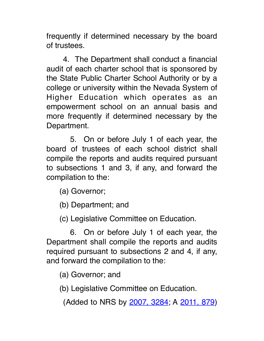frequently if determined necessary by the board of trustees.

 4. The Department shall conduct a financial audit of each charter school that is sponsored by the State Public Charter School Authority or by a college or university within the Nevada System of Higher Education which operates as an empowerment school on an annual basis and more frequently if determined necessary by the Department.

 5. On or before July 1 of each year, the board of trustees of each school district shall compile the reports and audits required pursuant to subsections 1 and 3, if any, and forward the compilation to the:

- (a) Governor;
- (b) Department; and
- (c) Legislative Committee on Education.

 6. On or before July 1 of each year, the Department shall compile the reports and audits required pursuant to subsections 2 and 4, if any, and forward the compilation to the:

(a) Governor; and

(b) Legislative Committee on Education.

(Added to NRS by 2007, 3284; A 2011, 879)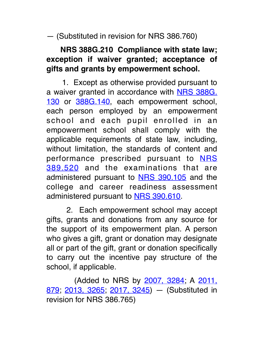— (Substituted in revision for NRS 386.760)

# **NRS 388G.210 Compliance with state law; exception if waiver granted; acceptance of gifts and grants by empowerment school.**

 1. Except as otherwise provided pursuant to a waiver granted in accordance with NRS 388G. 130 or 388G.140, each empowerment school, each person employed by an empowerment school and each pupil enrolled in an empowerment school shall comply with the applicable requirements of state law, including, without limitation, the standards of content and performance prescribed pursuant to NRS 389.520 and the examinations that are administered pursuant to NRS 390.105 and the college and career readiness assessment administered pursuant to NRS 390.610.

 2. Each empowerment school may accept gifts, grants and donations from any source for the support of its empowerment plan. A person who gives a gift, grant or donation may designate all or part of the gift, grant or donation specifically to carry out the incentive pay structure of the school, if applicable.

 (Added to NRS by 2007, 3284; A 2011, 879, 2013, 3265, 2017, 3245) - (Substituted in revision for NRS 386.765)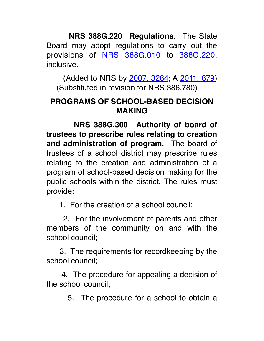**NRS 388G.220 Regulations.** The State Board may adopt regulations to carry out the provisions of **NRS 388G.010** to 388G.220, inclusive.

 (Added to NRS by 2007, 3284; A 2011, 879) — (Substituted in revision for NRS 386.780)

### **PROGRAMS OF SCHOOL-BASED DECISION MAKING**

 **NRS 388G.300 Authority of board of trustees to prescribe rules relating to creation**  and administration of program. The board of trustees of a school district may prescribe rules relating to the creation and administration of a program of school-based decision making for the public schools within the district. The rules must provide:

1. For the creation of a school council;

 2. For the involvement of parents and other members of the community on and with the school council;

 3. The requirements for recordkeeping by the school council;

 4. The procedure for appealing a decision of the school council;

5. The procedure for a school to obtain a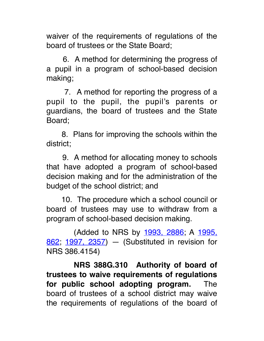waiver of the requirements of regulations of the board of trustees or the State Board;

 6. A method for determining the progress of a pupil in a program of school-based decision making;

 7. A method for reporting the progress of a pupil to the pupil, the pupil's parents or guardians, the board of trustees and the State Board;

 8. Plans for improving the schools within the district;

 9. A method for allocating money to schools that have adopted a program of school-based decision making and for the administration of the budget of the school district; and

 10. The procedure which a school council or board of trustees may use to withdraw from a program of school-based decision making.

 (Added to NRS by 1993, 2886; A 1995, 862; 1997, 2357) — (Substituted in revision for NRS 386.4154)

 **NRS 388G.310 Authority of board of trustees to waive requirements of regulations for public school adopting program.**  The board of trustees of a school district may waive the requirements of regulations of the board of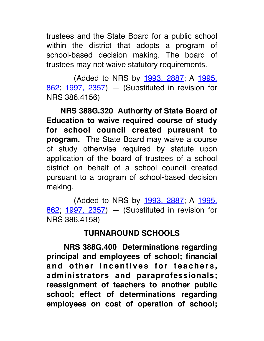trustees and the State Board for a public school within the district that adopts a program of school-based decision making. The board of trustees may not waive statutory requirements.

 (Added to NRS by 1993, 2887; A 1995, 862; 1997, 2357) — (Substituted in revision for NRS 386.4156)

 **NRS 388G.320 Authority of State Board of Education to waive required course of study for school council created pursuant to program.** The State Board may waive a course of study otherwise required by statute upon application of the board of trustees of a school district on behalf of a school council created pursuant to a program of school-based decision making.

 (Added to NRS by 1993, 2887; A 1995, 862; 1997, 2357) — (Substituted in revision for NRS 386.4158)

### **TURNAROUND SCHOOLS**

 **NRS 388G.400 Determinations regarding principal and employees of school; financial**  and other incentives for teachers, **administrators and paraprofessionals; reassignment of teachers to another public school; effect of determinations regarding employees on cost of operation of school;**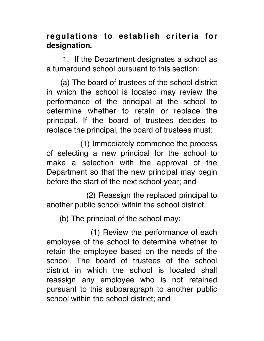### **regulations to establish criteria for designation.**

 1. If the Department designates a school as a turnaround school pursuant to this section:

 (a) The board of trustees of the school district in which the school is located may review the performance of the principal at the school to determine whether to retain or replace the principal. If the board of trustees decides to replace the principal, the board of trustees must:

 (1) Immediately commence the process of selecting a new principal for the school to make a selection with the approval of the Department so that the new principal may begin before the start of the next school year; and

 (2) Reassign the replaced principal to another public school within the school district.

(b) The principal of the school may:

 (1) Review the performance of each employee of the school to determine whether to retain the employee based on the needs of the school. The board of trustees of the school district in which the school is located shall reassign any employee who is not retained pursuant to this subparagraph to another public school within the school district; and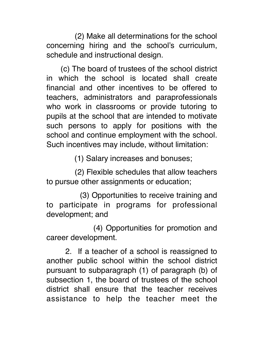(2) Make all determinations for the school concerning hiring and the school's curriculum, schedule and instructional design.

 (c) The board of trustees of the school district in which the school is located shall create financial and other incentives to be offered to teachers, administrators and paraprofessionals who work in classrooms or provide tutoring to pupils at the school that are intended to motivate such persons to apply for positions with the school and continue employment with the school. Such incentives may include, without limitation:

(1) Salary increases and bonuses;

 (2) Flexible schedules that allow teachers to pursue other assignments or education;

 (3) Opportunities to receive training and to participate in programs for professional development; and

 (4) Opportunities for promotion and career development.

 2. If a teacher of a school is reassigned to another public school within the school district pursuant to subparagraph (1) of paragraph (b) of subsection 1, the board of trustees of the school district shall ensure that the teacher receives assistance to help the teacher meet the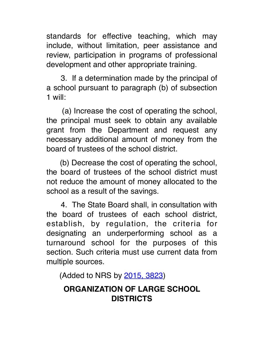standards for effective teaching, which may include, without limitation, peer assistance and review, participation in programs of professional development and other appropriate training.

 3. If a determination made by the principal of a school pursuant to paragraph (b) of subsection 1 will:

 (a) Increase the cost of operating the school, the principal must seek to obtain any available grant from the Department and request any necessary additional amount of money from the board of trustees of the school district.

 (b) Decrease the cost of operating the school, the board of trustees of the school district must not reduce the amount of money allocated to the school as a result of the savings.

 4. The State Board shall, in consultation with the board of trustees of each school district, establish, by regulation, the criteria for designating an underperforming school as a turnaround school for the purposes of this section. Such criteria must use current data from multiple sources.

(Added to NRS by 2015, 3823)

## **ORGANIZATION OF LARGE SCHOOL DISTRICTS**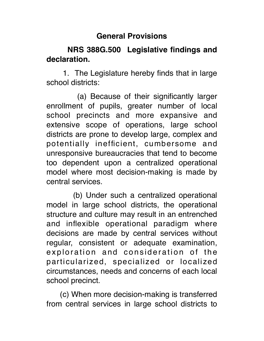#### **General Provisions**

### **NRS 388G.500 Legislative findings and declaration.**

 1. The Legislature hereby finds that in large school districts:

 (a) Because of their significantly larger enrollment of pupils, greater number of local school precincts and more expansive and extensive scope of operations, large school districts are prone to develop large, complex and potentially inefficient, cumbersome and unresponsive bureaucracies that tend to become too dependent upon a centralized operational model where most decision-making is made by central services.

 (b) Under such a centralized operational model in large school districts, the operational structure and culture may result in an entrenched and inflexible operational paradigm where decisions are made by central services without regular, consistent or adequate examination, exploration and consideration of the particularized, specialized or localized circumstances, needs and concerns of each local school precinct.

 (c) When more decision-making is transferred from central services in large school districts to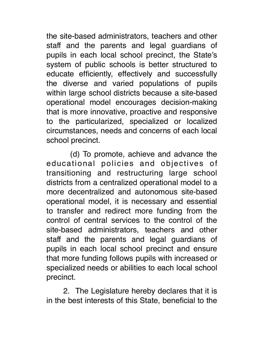the site-based administrators, teachers and other staff and the parents and legal guardians of pupils in each local school precinct, the State's system of public schools is better structured to educate efficiently, effectively and successfully the diverse and varied populations of pupils within large school districts because a site-based operational model encourages decision-making that is more innovative, proactive and responsive to the particularized, specialized or localized circumstances, needs and concerns of each local school precinct.

 (d) To promote, achieve and advance the educational policies and objectives of transitioning and restructuring large school districts from a centralized operational model to a more decentralized and autonomous site-based operational model, it is necessary and essential to transfer and redirect more funding from the control of central services to the control of the site-based administrators, teachers and other staff and the parents and legal guardians of pupils in each local school precinct and ensure that more funding follows pupils with increased or specialized needs or abilities to each local school precinct.

 2. The Legislature hereby declares that it is in the best interests of this State, beneficial to the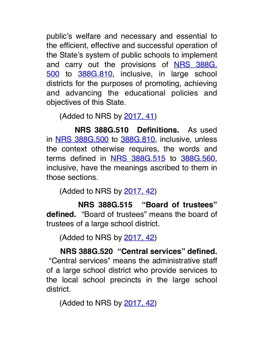public's welfare and necessary and essential to the efficient, effective and successful operation of the State's system of public schools to implement and carry out the provisions of NRS 388G. 500 to 388G.810, inclusive, in large school districts for the purposes of promoting, achieving and advancing the educational policies and objectives of this State.

(Added to NRS by 2017, 41)

 **NRS 388G.510 Definitions.**  As used in NRS 388G.500 to 388G.810, inclusive, unless the context otherwise requires, the words and terms defined in NRS 388G.515 to 388G.560, inclusive, have the meanings ascribed to them in those sections.

(Added to NRS by 2017, 42)

 **NRS 388G.515 "Board of trustees" defined.** "Board of trustees" means the board of trustees of a large school district.

(Added to NRS by 2017, 42)

 **NRS 388G.520 "Central services" defined.** "Central services" means the administrative staff of a large school district who provide services to the local school precincts in the large school district.

(Added to NRS by 2017, 42)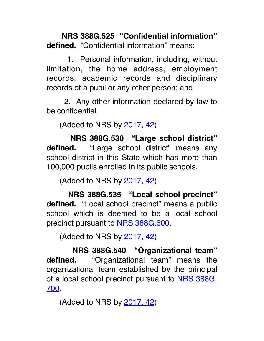**NRS 388G.525 "Confidential information" defined.** "Confidential information" means:

 1. Personal information, including, without limitation, the home address, employment records, academic records and disciplinary records of a pupil or any other person; and

 2. Any other information declared by law to be confidential.

(Added to NRS by 2017, 42)

 **NRS 388G.530 "Large school district" defined.**  "Large school district" means any school district in this State which has more than 100,000 pupils enrolled in its public schools.

(Added to NRS by 2017, 42)

 **NRS 388G.535 "Local school precinct" defined.** "Local school precinct" means a public school which is deemed to be a local school precinct pursuant to NRS 388G.600.

(Added to NRS by 2017, 42)

 **NRS 388G.540 "Organizational team" defined.**  "Organizational team" means the organizational team established by the principal of a local school precinct pursuant to NRS 388G. 700.

(Added to NRS by 2017, 42)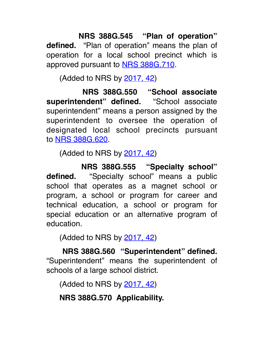**NRS 388G.545 "Plan of operation" defined.** "Plan of operation" means the plan of operation for a local school precinct which is approved pursuant to NRS 388G.710.

(Added to NRS by 2017, 42)

 **NRS 388G.550 "School associate superintendent" defined.**  "School associate superintendent" means a person assigned by the superintendent to oversee the operation of designated local school precincts pursuant to NRS 388G.620.

(Added to NRS by 2017, 42)

 **NRS 388G.555 "Specialty school" defined.**  "Specialty school" means a public school that operates as a magnet school or program, a school or program for career and technical education, a school or program for special education or an alternative program of education.

(Added to NRS by 2017, 42)

 **NRS 388G.560 "Superintendent" defined.** "Superintendent" means the superintendent of schools of a large school district.

(Added to NRS by 2017, 42)

 **NRS 388G.570 Applicability.**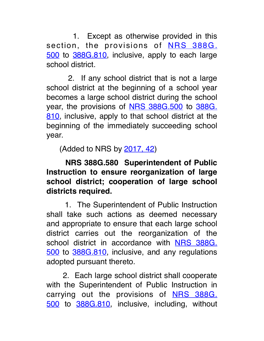1. Except as otherwise provided in this section, the provisions of **NRS 388G**. 500 to 388G.810, inclusive, apply to each large school district.

 2. If any school district that is not a large school district at the beginning of a school year becomes a large school district during the school year, the provisions of NRS 388G.500 to 388G. 810, inclusive, apply to that school district at the beginning of the immediately succeeding school year.

(Added to NRS by 2017, 42)

 **NRS 388G.580 Superintendent of Public Instruction to ensure reorganization of large school district; cooperation of large school districts required.**

 1. The Superintendent of Public Instruction shall take such actions as deemed necessary and appropriate to ensure that each large school district carries out the reorganization of the school district in accordance with NRS 388G. 500 to 388G.810, inclusive, and any regulations adopted pursuant thereto.

 2. Each large school district shall cooperate with the Superintendent of Public Instruction in carrying out the provisions of **NRS 388G**. 500 to 388G.810, inclusive, including, without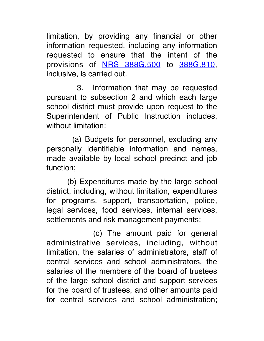limitation, by providing any financial or other information requested, including any information requested to ensure that the intent of the provisions of NRS 388G.500 to 388G.810, inclusive, is carried out.

 3. Information that may be requested pursuant to subsection 2 and which each large school district must provide upon request to the Superintendent of Public Instruction includes, without limitation:

 (a) Budgets for personnel, excluding any personally identifiable information and names, made available by local school precinct and job function;

 (b) Expenditures made by the large school district, including, without limitation, expenditures for programs, support, transportation, police, legal services, food services, internal services, settlements and risk management payments;

 (c) The amount paid for general administrative services, including, without limitation, the salaries of administrators, staff of central services and school administrators, the salaries of the members of the board of trustees of the large school district and support services for the board of trustees, and other amounts paid for central services and school administration;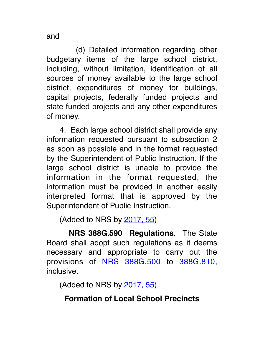and

 (d) Detailed information regarding other budgetary items of the large school district, including, without limitation, identification of all sources of money available to the large school district, expenditures of money for buildings, capital projects, federally funded projects and state funded projects and any other expenditures of money.

 4. Each large school district shall provide any information requested pursuant to subsection 2 as soon as possible and in the format requested by the Superintendent of Public Instruction. If the large school district is unable to provide the information in the format requested, the information must be provided in another easily interpreted format that is approved by the Superintendent of Public Instruction.

(Added to NRS by 2017, 55)

 **NRS 388G.590 Regulations.** The State Board shall adopt such regulations as it deems necessary and appropriate to carry out the provisions of NRS 388G.500 to 388G.810, inclusive.

(Added to NRS by 2017, 55)

# **Formation of Local School Precincts**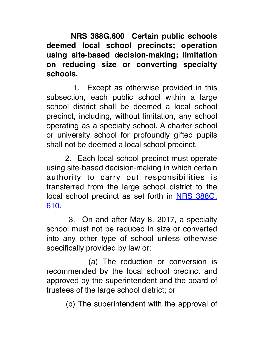**NRS 388G.600 Certain public schools deemed local school precincts; operation using site-based decision-making; limitation on reducing size or converting specialty schools.**

 1. Except as otherwise provided in this subsection, each public school within a large school district shall be deemed a local school precinct, including, without limitation, any school operating as a specialty school. A charter school or university school for profoundly gifted pupils shall not be deemed a local school precinct.

 2. Each local school precinct must operate using site-based decision-making in which certain authority to carry out responsibilities is transferred from the large school district to the local school precinct as set forth in NRS 388G. 610.

 3. On and after May 8, 2017, a specialty school must not be reduced in size or converted into any other type of school unless otherwise specifically provided by law or:

 (a) The reduction or conversion is recommended by the local school precinct and approved by the superintendent and the board of trustees of the large school district; or

(b) The superintendent with the approval of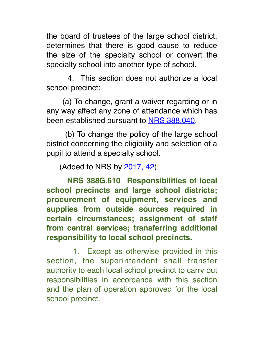the board of trustees of the large school district, determines that there is good cause to reduce the size of the specialty school or convert the specialty school into another type of school.

 4. This section does not authorize a local school precinct:

 (a) To change, grant a waiver regarding or in any way affect any zone of attendance which has been established pursuant to NRS 388.040.

 (b) To change the policy of the large school district concerning the eligibility and selection of a pupil to attend a specialty school.

(Added to NRS by 2017, 42)

 **NRS 388G.610 Responsibilities of local school precincts and large school districts; procurement of equipment, services and supplies from outside sources required in certain circumstances; assignment of staff from central services; transferring additional responsibility to local school precincts.**

1. Except as otherwise provided in this section, the superintendent shall transfer authority to each local school precinct to carry out responsibilities in accordance with this section and the plan of operation approved for the local school precinct.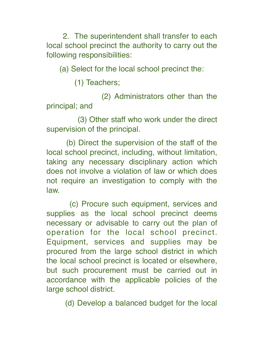2. The superintendent shall transfer to each local school precinct the authority to carry out the following responsibilities:

(a) Select for the local school precinct the:

(1) Teachers;

 (2) Administrators other than the principal; and

 (3) Other staff who work under the direct supervision of the principal.

 (b) Direct the supervision of the staff of the local school precinct, including, without limitation, taking any necessary disciplinary action which does not involve a violation of law or which does not require an investigation to comply with the law.

 (c) Procure such equipment, services and supplies as the local school precinct deems necessary or advisable to carry out the plan of operation for the local school precinct. Equipment, services and supplies may be procured from the large school district in which the local school precinct is located or elsewhere, but such procurement must be carried out in accordance with the applicable policies of the large school district.

(d) Develop a balanced budget for the local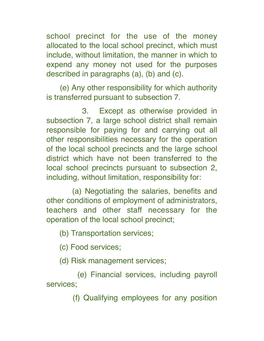school precinct for the use of the money allocated to the local school precinct, which must include, without limitation, the manner in which to expend any money not used for the purposes described in paragraphs (a), (b) and (c).

 (e) Any other responsibility for which authority is transferred pursuant to subsection 7.

 3. Except as otherwise provided in subsection 7, a large school district shall remain responsible for paying for and carrying out all other responsibilities necessary for the operation of the local school precincts and the large school district which have not been transferred to the local school precincts pursuant to subsection 2, including, without limitation, responsibility for:

 (a) Negotiating the salaries, benefits and other conditions of employment of administrators, teachers and other staff necessary for the operation of the local school precinct;

(b) Transportation services;

(c) Food services;

(d) Risk management services;

 (e) Financial services, including payroll services;

(f) Qualifying employees for any position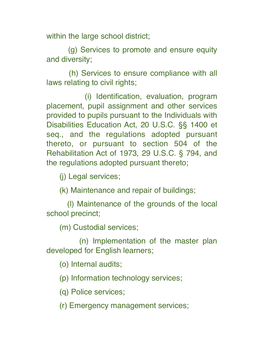within the large school district;

 (g) Services to promote and ensure equity and diversity;

 (h) Services to ensure compliance with all laws relating to civil rights;

 (i) Identification, evaluation, program placement, pupil assignment and other services provided to pupils pursuant to the Individuals with Disabilities Education Act, 20 U.S.C. §§ 1400 et seq., and the regulations adopted pursuant thereto, or pursuant to section 504 of the Rehabilitation Act of 1973, 29 U.S.C. § 794, and the regulations adopted pursuant thereto;

(j) Legal services;

(k) Maintenance and repair of buildings;

 (l) Maintenance of the grounds of the local school precinct;

(m) Custodial services;

 (n) Implementation of the master plan developed for English learners;

(o) Internal audits;

(p) Information technology services;

(q) Police services;

(r) Emergency management services;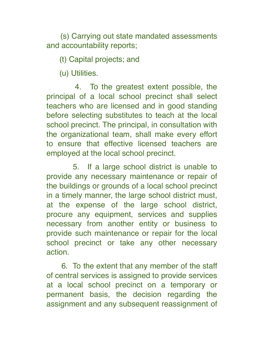(s) Carrying out state mandated assessments and accountability reports;

(t) Capital projects; and

(u) Utilities.

4. To the greatest extent possible, the principal of a local school precinct shall select teachers who are licensed and in good standing before selecting substitutes to teach at the local school precinct. The principal, in consultation with the organizational team, shall make every effort to ensure that effective licensed teachers are employed at the local school precinct.

5. If a large school district is unable to provide any necessary maintenance or repair of the buildings or grounds of a local school precinct in a timely manner, the large school district must, at the expense of the large school district, procure any equipment, services and supplies necessary from another entity or business to provide such maintenance or repair for the local school precinct or take any other necessary action.

 6. To the extent that any member of the staff of central services is assigned to provide services at a local school precinct on a temporary or permanent basis, the decision regarding the assignment and any subsequent reassignment of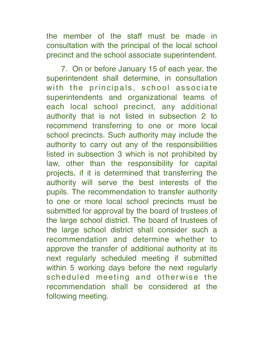the member of the staff must be made in consultation with the principal of the local school precinct and the school associate superintendent.

 7. On or before January 15 of each year, the superintendent shall determine, in consultation with the principals, school associate superintendents and organizational teams of each local school precinct, any additional authority that is not listed in subsection 2 to recommend transferring to one or more local school precincts. Such authority may include the authority to carry out any of the responsibilities listed in subsection 3 which is not prohibited by law, other than the responsibility for capital projects, if it is determined that transferring the authority will serve the best interests of the pupils. The recommendation to transfer authority to one or more local school precincts must be submitted for approval by the board of trustees of the large school district. The board of trustees of the large school district shall consider such a recommendation and determine whether to approve the transfer of additional authority at its next regularly scheduled meeting if submitted within 5 working days before the next regularly scheduled meeting and otherwise the recommendation shall be considered at the following meeting.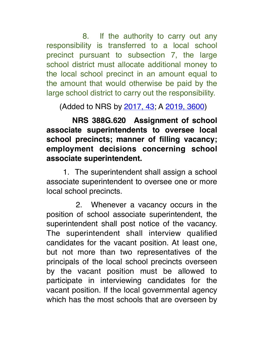8. If the authority to carry out any responsibility is transferred to a local school precinct pursuant to subsection 7, the large school district must allocate additional money to the local school precinct in an amount equal to the amount that would otherwise be paid by the large school district to carry out the responsibility.

(Added to NRS by 2017, 43; A 2019, 3600)

 **NRS 388G.620 Assignment of school associate superintendents to oversee local school precincts; manner of filling vacancy; employment decisions concerning school associate superintendent.**

 1. The superintendent shall assign a school associate superintendent to oversee one or more local school precincts.

2. Whenever a vacancy occurs in the position of school associate superintendent, the superintendent shall post notice of the vacancy. The superintendent shall interview qualified candidates for the vacant position. At least one, but not more than two representatives of the principals of the local school precincts overseen by the vacant position must be allowed to participate in interviewing candidates for the vacant position. If the local governmental agency which has the most schools that are overseen by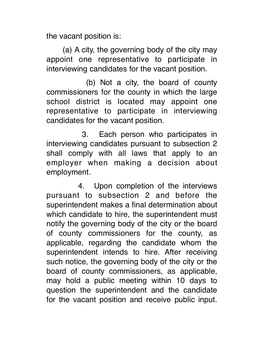the vacant position is:

 (a) A city, the governing body of the city may appoint one representative to participate in interviewing candidates for the vacant position.

 (b) Not a city, the board of county commissioners for the county in which the large school district is located may appoint one representative to participate in interviewing candidates for the vacant position.

 3. Each person who participates in interviewing candidates pursuant to subsection 2 shall comply with all laws that apply to an employer when making a decision about employment.

4. Upon completion of the interviews pursuant to subsection 2 and before the superintendent makes a final determination about which candidate to hire, the superintendent must notify the governing body of the city or the board of county commissioners for the county, as applicable, regarding the candidate whom the superintendent intends to hire. After receiving such notice, the governing body of the city or the board of county commissioners, as applicable, may hold a public meeting within 10 days to question the superintendent and the candidate for the vacant position and receive public input.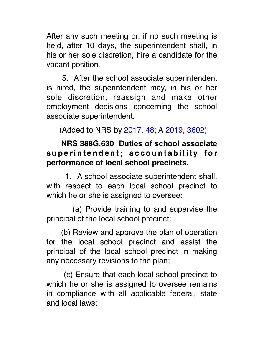After any such meeting or, if no such meeting is held, after 10 days, the superintendent shall, in his or her sole discretion, hire a candidate for the vacant position.

 5. After the school associate superintendent is hired, the superintendent may, in his or her sole discretion, reassign and make other employment decisions concerning the school associate superintendent.

(Added to NRS by 2017, 48; A 2019, 3602)

### **NRS 388G.630 Duties of school associate**  superintendent; accountability for **performance of local school precincts.**

 1. A school associate superintendent shall, with respect to each local school precinct to which he or she is assigned to oversee:

 (a) Provide training to and supervise the principal of the local school precinct;

 (b) Review and approve the plan of operation for the local school precinct and assist the principal of the local school precinct in making any necessary revisions to the plan;

 (c) Ensure that each local school precinct to which he or she is assigned to oversee remains in compliance with all applicable federal, state and local laws;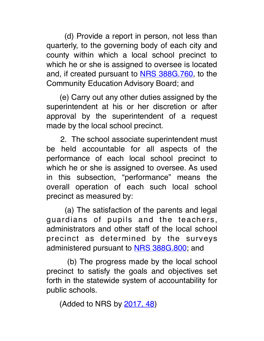(d) Provide a report in person, not less than quarterly, to the governing body of each city and county within which a local school precinct to which he or she is assigned to oversee is located and, if created pursuant to NRS 388G.760, to the Community Education Advisory Board; and

 (e) Carry out any other duties assigned by the superintendent at his or her discretion or after approval by the superintendent of a request made by the local school precinct.

 2. The school associate superintendent must be held accountable for all aspects of the performance of each local school precinct to which he or she is assigned to oversee. As used in this subsection, "performance" means the overall operation of each such local school precinct as measured by:

 (a) The satisfaction of the parents and legal guardians of pupils and the teachers, administrators and other staff of the local school precinct as determined by the surveys administered pursuant to NRS 388G.800; and

 (b) The progress made by the local school precinct to satisfy the goals and objectives set forth in the statewide system of accountability for public schools.

(Added to NRS by 2017, 48)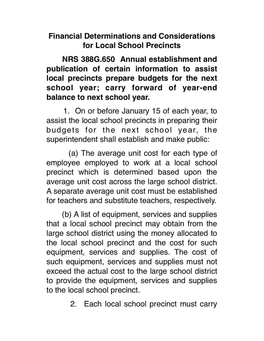### **Financial Determinations and Considerations for Local School Precincts**

 **NRS 388G.650 Annual establishment and publication of certain information to assist local precincts prepare budgets for the next school year; carry forward of year-end balance to next school year.**

 1. On or before January 15 of each year, to assist the local school precincts in preparing their budgets for the next school year, the superintendent shall establish and make public:

 (a) The average unit cost for each type of employee employed to work at a local school precinct which is determined based upon the average unit cost across the large school district. A separate average unit cost must be established for teachers and substitute teachers, respectively.

 (b) A list of equipment, services and supplies that a local school precinct may obtain from the large school district using the money allocated to the local school precinct and the cost for such equipment, services and supplies. The cost of such equipment, services and supplies must not exceed the actual cost to the large school district to provide the equipment, services and supplies to the local school precinct.

2. Each local school precinct must carry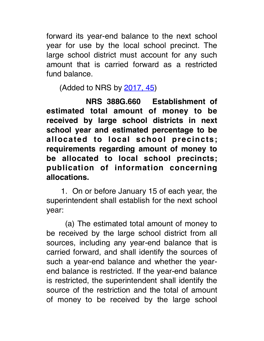forward its year-end balance to the next school year for use by the local school precinct. The large school district must account for any such amount that is carried forward as a restricted fund balance.

(Added to NRS by 2017, 45)

 **NRS 388G.660 Establishment of estimated total amount of money to be received by large school districts in next school year and estimated percentage to be allocated to local school precincts; requirements regarding amount of money to be allocated to local school precincts; publication of information concerning allocations.**

 1. On or before January 15 of each year, the superintendent shall establish for the next school year:

 (a) The estimated total amount of money to be received by the large school district from all sources, including any year-end balance that is carried forward, and shall identify the sources of such a year-end balance and whether the yearend balance is restricted. If the year-end balance is restricted, the superintendent shall identify the source of the restriction and the total of amount of money to be received by the large school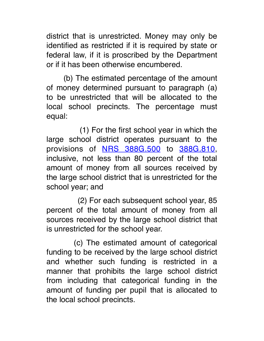district that is unrestricted. Money may only be identified as restricted if it is required by state or federal law, if it is proscribed by the Department or if it has been otherwise encumbered.

 (b) The estimated percentage of the amount of money determined pursuant to paragraph (a) to be unrestricted that will be allocated to the local school precincts. The percentage must equal:

 (1) For the first school year in which the large school district operates pursuant to the provisions of NRS 388G.500 to 388G.810, inclusive, not less than 80 percent of the total amount of money from all sources received by the large school district that is unrestricted for the school year; and

 (2) For each subsequent school year, 85 percent of the total amount of money from all sources received by the large school district that is unrestricted for the school year.

 (c) The estimated amount of categorical funding to be received by the large school district and whether such funding is restricted in a manner that prohibits the large school district from including that categorical funding in the amount of funding per pupil that is allocated to the local school precincts.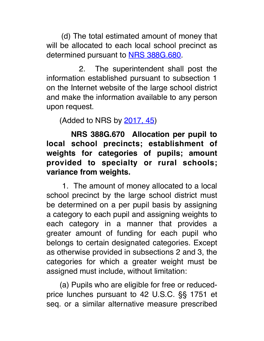(d) The total estimated amount of money that will be allocated to each local school precinct as determined pursuant to NRS 388G.680.

2. The superintendent shall post the information established pursuant to subsection 1 on the Internet website of the large school district and make the information available to any person upon request.

(Added to NRS by 2017, 45)

 **NRS 388G.670 Allocation per pupil to local school precincts; establishment of weights for categories of pupils; amount provided to specialty or rural schools; variance from weights.**

 1. The amount of money allocated to a local school precinct by the large school district must be determined on a per pupil basis by assigning a category to each pupil and assigning weights to each category in a manner that provides a greater amount of funding for each pupil who belongs to certain designated categories. Except as otherwise provided in subsections 2 and 3, the categories for which a greater weight must be assigned must include, without limitation:

 (a) Pupils who are eligible for free or reducedprice lunches pursuant to 42 U.S.C. §§ 1751 et seq. or a similar alternative measure prescribed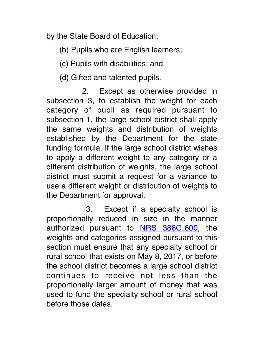by the State Board of Education;

(b) Pupils who are English learners;

(c) Pupils with disabilities; and

(d) Gifted and talented pupils.

2. Except as otherwise provided in subsection 3, to establish the weight for each category of pupil as required pursuant to subsection 1, the large school district shall apply the same weights and distribution of weights established by the Department for the state funding formula. If the large school district wishes to apply a different weight to any category or a different distribution of weights, the large school district must submit a request for a variance to use a different weight or distribution of weights to the Department for approval.

 3. Except if a specialty school is proportionally reduced in size in the manner authorized pursuant to **NRS 388G.600**, the weights and categories assigned pursuant to this section must ensure that any specialty school or rural school that exists on May 8, 2017, or before the school district becomes a large school district continues to receive not less than the proportionally larger amount of money that was used to fund the specialty school or rural school before those dates.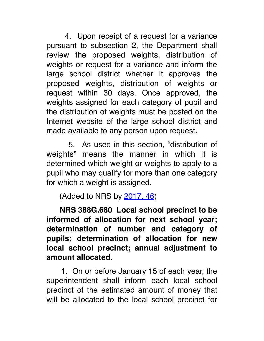4. Upon receipt of a request for a variance pursuant to subsection 2, the Department shall review the proposed weights, distribution of weights or request for a variance and inform the large school district whether it approves the proposed weights, distribution of weights or request within 30 days. Once approved, the weights assigned for each category of pupil and the distribution of weights must be posted on the Internet website of the large school district and made available to any person upon request.

 5. As used in this section, "distribution of weights" means the manner in which it is determined which weight or weights to apply to a pupil who may qualify for more than one category for which a weight is assigned.

(Added to NRS by 2017, 46)

 **NRS 388G.680 Local school precinct to be informed of allocation for next school year; determination of number and category of pupils; determination of allocation for new local school precinct; annual adjustment to amount allocated.**

 1. On or before January 15 of each year, the superintendent shall inform each local school precinct of the estimated amount of money that will be allocated to the local school precinct for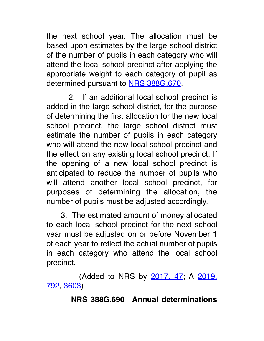the next school year. The allocation must be based upon estimates by the large school district of the number of pupils in each category who will attend the local school precinct after applying the appropriate weight to each category of pupil as determined pursuant to NRS 388G.670.

 2. If an additional local school precinct is added in the large school district, for the purpose of determining the first allocation for the new local school precinct, the large school district must estimate the number of pupils in each category who will attend the new local school precinct and the effect on any existing local school precinct. If the opening of a new local school precinct is anticipated to reduce the number of pupils who will attend another local school precinct, for purposes of determining the allocation, the number of pupils must be adjusted accordingly.

 3. The estimated amount of money allocated to each local school precinct for the next school year must be adjusted on or before November 1 of each year to reflect the actual number of pupils in each category who attend the local school precinct.

 (Added to NRS by 2017, 47; A 2019, 792, 3603)

#### **NRS 388G.690 Annual determinations**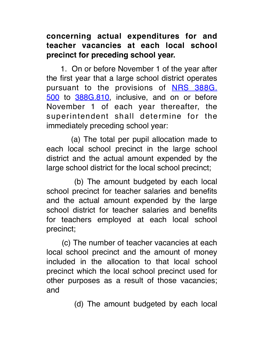## **concerning actual expenditures for and teacher vacancies at each local school precinct for preceding school year.**

 1. On or before November 1 of the year after the first year that a large school district operates pursuant to the provisions of NRS 388G. 500 to 388G.810, inclusive, and on or before November 1 of each year thereafter, the superintendent shall determine for the immediately preceding school year:

 (a) The total per pupil allocation made to each local school precinct in the large school district and the actual amount expended by the large school district for the local school precinct;

 (b) The amount budgeted by each local school precinct for teacher salaries and benefits and the actual amount expended by the large school district for teacher salaries and benefits for teachers employed at each local school precinct;

 (c) The number of teacher vacancies at each local school precinct and the amount of money included in the allocation to that local school precinct which the local school precinct used for other purposes as a result of those vacancies; and

(d) The amount budgeted by each local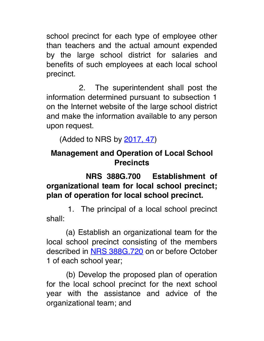school precinct for each type of employee other than teachers and the actual amount expended by the large school district for salaries and benefits of such employees at each local school precinct.

2. The superintendent shall post the information determined pursuant to subsection 1 on the Internet website of the large school district and make the information available to any person upon request.

(Added to NRS by 2017, 47)

# **Management and Operation of Local School Precincts**

# **NRS 388G.700 Establishment of organizational team for local school precinct; plan of operation for local school precinct.**

 1. The principal of a local school precinct shall:

 (a) Establish an organizational team for the local school precinct consisting of the members described in NRS 388G.720 on or before October 1 of each school year;

 (b) Develop the proposed plan of operation for the local school precinct for the next school year with the assistance and advice of the organizational team; and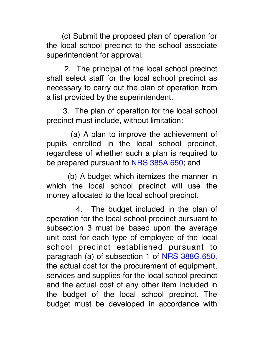(c) Submit the proposed plan of operation for the local school precinct to the school associate superintendent for approval.

 2. The principal of the local school precinct shall select staff for the local school precinct as necessary to carry out the plan of operation from a list provided by the superintendent.

 3. The plan of operation for the local school precinct must include, without limitation:

 (a) A plan to improve the achievement of pupils enrolled in the local school precinct, regardless of whether such a plan is required to be prepared pursuant to **NRS 385A.650**; and

 (b) A budget which itemizes the manner in which the local school precinct will use the money allocated to the local school precinct.

4. The budget included in the plan of operation for the local school precinct pursuant to subsection 3 must be based upon the average unit cost for each type of employee of the local school precinct established pursuant to paragraph (a) of subsection 1 of NRS 388G.650, the actual cost for the procurement of equipment, services and supplies for the local school precinct and the actual cost of any other item included in the budget of the local school precinct. The budget must be developed in accordance with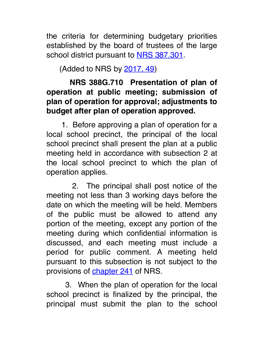the criteria for determining budgetary priorities established by the board of trustees of the large school district pursuant to NRS 387.301.

(Added to NRS by 2017, 49)

# **NRS 388G.710 Presentation of plan of operation at public meeting; submission of plan of operation for approval; adjustments to budget after plan of operation approved.**

 1. Before approving a plan of operation for a local school precinct, the principal of the local school precinct shall present the plan at a public meeting held in accordance with subsection 2 at the local school precinct to which the plan of operation applies.

 2. The principal shall post notice of the meeting not less than 3 working days before the date on which the meeting will be held. Members of the public must be allowed to attend any portion of the meeting, except any portion of the meeting during which confidential information is discussed, and each meeting must include a period for public comment. A meeting held pursuant to this subsection is not subject to the provisions of **chapter 241** of NRS.

 3. When the plan of operation for the local school precinct is finalized by the principal, the principal must submit the plan to the school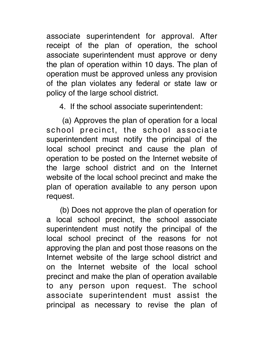associate superintendent for approval. After receipt of the plan of operation, the school associate superintendent must approve or deny the plan of operation within 10 days. The plan of operation must be approved unless any provision of the plan violates any federal or state law or policy of the large school district.

4. If the school associate superintendent:

 (a) Approves the plan of operation for a local school precinct, the school associate superintendent must notify the principal of the local school precinct and cause the plan of operation to be posted on the Internet website of the large school district and on the Internet website of the local school precinct and make the plan of operation available to any person upon request.

 (b) Does not approve the plan of operation for a local school precinct, the school associate superintendent must notify the principal of the local school precinct of the reasons for not approving the plan and post those reasons on the Internet website of the large school district and on the Internet website of the local school precinct and make the plan of operation available to any person upon request. The school associate superintendent must assist the principal as necessary to revise the plan of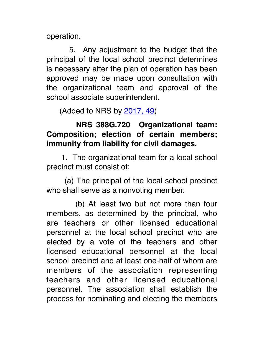operation.

 5. Any adjustment to the budget that the principal of the local school precinct determines is necessary after the plan of operation has been approved may be made upon consultation with the organizational team and approval of the school associate superintendent.

(Added to NRS by 2017, 49)

#### **NRS 388G.720 Organizational team: Composition; election of certain members; immunity from liability for civil damages.**

 1. The organizational team for a local school precinct must consist of:

 (a) The principal of the local school precinct who shall serve as a nonvoting member.

 (b) At least two but not more than four members, as determined by the principal, who are teachers or other licensed educational personnel at the local school precinct who are elected by a vote of the teachers and other licensed educational personnel at the local school precinct and at least one-half of whom are members of the association representing teachers and other licensed educational personnel. The association shall establish the process for nominating and electing the members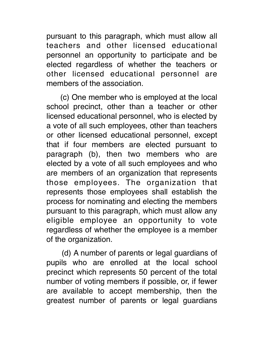pursuant to this paragraph, which must allow all teachers and other licensed educational personnel an opportunity to participate and be elected regardless of whether the teachers or other licensed educational personnel are members of the association.

 (c) One member who is employed at the local school precinct, other than a teacher or other licensed educational personnel, who is elected by a vote of all such employees, other than teachers or other licensed educational personnel, except that if four members are elected pursuant to paragraph (b), then two members who are elected by a vote of all such employees and who are members of an organization that represents those employees. The organization that represents those employees shall establish the process for nominating and electing the members pursuant to this paragraph, which must allow any eligible employee an opportunity to vote regardless of whether the employee is a member of the organization.

 (d) A number of parents or legal guardians of pupils who are enrolled at the local school precinct which represents 50 percent of the total number of voting members if possible, or, if fewer are available to accept membership, then the greatest number of parents or legal guardians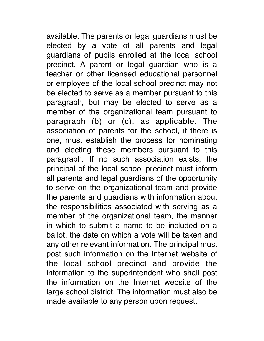available. The parents or legal guardians must be elected by a vote of all parents and legal guardians of pupils enrolled at the local school precinct. A parent or legal guardian who is a teacher or other licensed educational personnel or employee of the local school precinct may not be elected to serve as a member pursuant to this paragraph, but may be elected to serve as a member of the organizational team pursuant to paragraph (b) or (c), as applicable. The association of parents for the school, if there is one, must establish the process for nominating and electing these members pursuant to this paragraph. If no such association exists, the principal of the local school precinct must inform all parents and legal guardians of the opportunity to serve on the organizational team and provide the parents and guardians with information about the responsibilities associated with serving as a member of the organizational team, the manner in which to submit a name to be included on a ballot, the date on which a vote will be taken and any other relevant information. The principal must post such information on the Internet website of the local school precinct and provide the information to the superintendent who shall post the information on the Internet website of the large school district. The information must also be made available to any person upon request.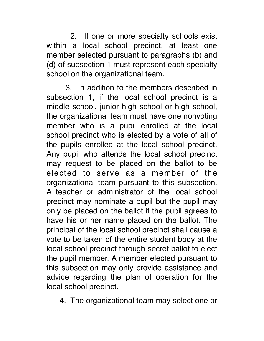2. If one or more specialty schools exist within a local school precinct, at least one member selected pursuant to paragraphs (b) and (d) of subsection 1 must represent each specialty school on the organizational team.

 3. In addition to the members described in subsection 1, if the local school precinct is a middle school, junior high school or high school, the organizational team must have one nonvoting member who is a pupil enrolled at the local school precinct who is elected by a vote of all of the pupils enrolled at the local school precinct. Any pupil who attends the local school precinct may request to be placed on the ballot to be elected to serve as a member of the organizational team pursuant to this subsection. A teacher or administrator of the local school precinct may nominate a pupil but the pupil may only be placed on the ballot if the pupil agrees to have his or her name placed on the ballot. The principal of the local school precinct shall cause a vote to be taken of the entire student body at the local school precinct through secret ballot to elect the pupil member. A member elected pursuant to this subsection may only provide assistance and advice regarding the plan of operation for the local school precinct.

4. The organizational team may select one or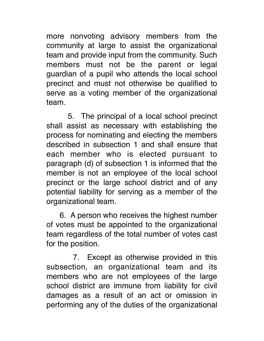more nonvoting advisory members from the community at large to assist the organizational team and provide input from the community. Such members must not be the parent or legal guardian of a pupil who attends the local school precinct and must not otherwise be qualified to serve as a voting member of the organizational team.

 5. The principal of a local school precinct shall assist as necessary with establishing the process for nominating and electing the members described in subsection 1 and shall ensure that each member who is elected pursuant to paragraph (d) of subsection 1 is informed that the member is not an employee of the local school precinct or the large school district and of any potential liability for serving as a member of the organizational team.

 6. A person who receives the highest number of votes must be appointed to the organizational team regardless of the total number of votes cast for the position.

 7. Except as otherwise provided in this subsection, an organizational team and its members who are not employees of the large school district are immune from liability for civil damages as a result of an act or omission in performing any of the duties of the organizational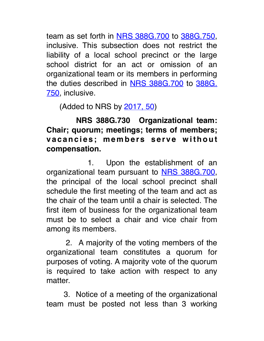team as set forth in NRS 388G.700 to 388G.750, inclusive. This subsection does not restrict the liability of a local school precinct or the large school district for an act or omission of an organizational team or its members in performing the duties described in NRS 388G.700 to 388G. 750, inclusive.

(Added to NRS by 2017, 50)

 **NRS 388G.730 Organizational team: Chair; quorum; meetings; terms of members;**  vacancies; members serve without **compensation.**

1. Upon the establishment of an organizational team pursuant to **NRS 388G.700**, the principal of the local school precinct shall schedule the first meeting of the team and act as the chair of the team until a chair is selected. The first item of business for the organizational team must be to select a chair and vice chair from among its members.

2. A majority of the voting members of the organizational team constitutes a quorum for purposes of voting. A majority vote of the quorum is required to take action with respect to any matter.

 3. Notice of a meeting of the organizational team must be posted not less than 3 working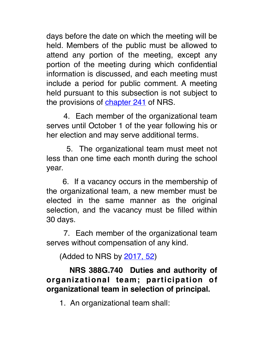days before the date on which the meeting will be held. Members of the public must be allowed to attend any portion of the meeting, except any portion of the meeting during which confidential information is discussed, and each meeting must include a period for public comment. A meeting held pursuant to this subsection is not subject to the provisions of chapter 241 of NRS.

 4. Each member of the organizational team serves until October 1 of the year following his or her election and may serve additional terms.

 5. The organizational team must meet not less than one time each month during the school year.

 6. If a vacancy occurs in the membership of the organizational team, a new member must be elected in the same manner as the original selection, and the vacancy must be filled within 30 days.

 7. Each member of the organizational team serves without compensation of any kind.

(Added to NRS by 2017, 52)

# **NRS 388G.740 Duties and authority of organizational team; participation of organizational team in selection of principal.**

1. An organizational team shall: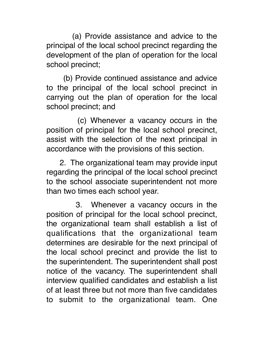(a) Provide assistance and advice to the principal of the local school precinct regarding the development of the plan of operation for the local school precinct;

 (b) Provide continued assistance and advice to the principal of the local school precinct in carrying out the plan of operation for the local school precinct; and

 (c) Whenever a vacancy occurs in the position of principal for the local school precinct, assist with the selection of the next principal in accordance with the provisions of this section.

 2. The organizational team may provide input regarding the principal of the local school precinct to the school associate superintendent not more than two times each school year.

 3. Whenever a vacancy occurs in the position of principal for the local school precinct, the organizational team shall establish a list of qualifications that the organizational team determines are desirable for the next principal of the local school precinct and provide the list to the superintendent. The superintendent shall post notice of the vacancy. The superintendent shall interview qualified candidates and establish a list of at least three but not more than five candidates to submit to the organizational team. One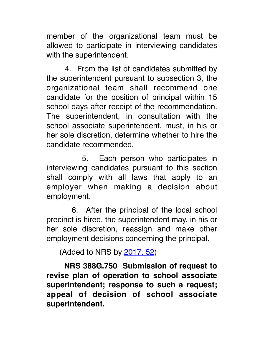member of the organizational team must be allowed to participate in interviewing candidates with the superintendent.

 4. From the list of candidates submitted by the superintendent pursuant to subsection 3, the organizational team shall recommend one candidate for the position of principal within 15 school days after receipt of the recommendation. The superintendent, in consultation with the school associate superintendent, must, in his or her sole discretion, determine whether to hire the candidate recommended.

5. Each person who participates in interviewing candidates pursuant to this section shall comply with all laws that apply to an employer when making a decision about employment.

 6. After the principal of the local school precinct is hired, the superintendent may, in his or her sole discretion, reassign and make other employment decisions concerning the principal.

(Added to NRS by 2017, 52)

 **NRS 388G.750 Submission of request to revise plan of operation to school associate superintendent; response to such a request; appeal of decision of school associate superintendent.**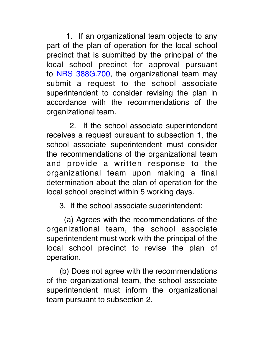1. If an organizational team objects to any part of the plan of operation for the local school precinct that is submitted by the principal of the local school precinct for approval pursuant to **NRS 388G.700**, the organizational team may submit a request to the school associate superintendent to consider revising the plan in accordance with the recommendations of the organizational team.

 2. If the school associate superintendent receives a request pursuant to subsection 1, the school associate superintendent must consider the recommendations of the organizational team and provide a written response to the organizational team upon making a final determination about the plan of operation for the local school precinct within 5 working days.

3. If the school associate superintendent:

 (a) Agrees with the recommendations of the organizational team, the school associate superintendent must work with the principal of the local school precinct to revise the plan of operation.

 (b) Does not agree with the recommendations of the organizational team, the school associate superintendent must inform the organizational team pursuant to subsection 2.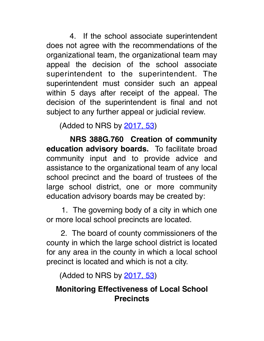4. If the school associate superintendent does not agree with the recommendations of the organizational team, the organizational team may appeal the decision of the school associate superintendent to the superintendent. The superintendent must consider such an appeal within 5 days after receipt of the appeal. The decision of the superintendent is final and not subject to any further appeal or judicial review.

(Added to NRS by 2017, 53)

 **NRS 388G.760 Creation of community education advisory boards.** To facilitate broad community input and to provide advice and assistance to the organizational team of any local school precinct and the board of trustees of the large school district, one or more community education advisory boards may be created by:

 1. The governing body of a city in which one or more local school precincts are located.

 2. The board of county commissioners of the county in which the large school district is located for any area in the county in which a local school precinct is located and which is not a city.

(Added to NRS by 2017, 53)

# **Monitoring Effectiveness of Local School Precincts**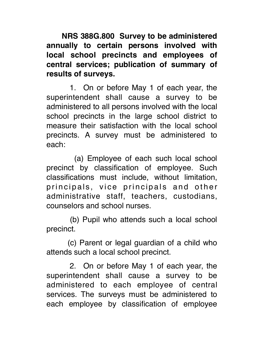**NRS 388G.800 Survey to be administered annually to certain persons involved with local school precincts and employees of central services; publication of summary of results of surveys.**

 1. On or before May 1 of each year, the superintendent shall cause a survey to be administered to all persons involved with the local school precincts in the large school district to measure their satisfaction with the local school precincts. A survey must be administered to each:

 (a) Employee of each such local school precinct by classification of employee. Such classifications must include, without limitation, principals, vice principals and other administrative staff, teachers, custodians, counselors and school nurses.

 (b) Pupil who attends such a local school precinct.

 (c) Parent or legal guardian of a child who attends such a local school precinct.

 2. On or before May 1 of each year, the superintendent shall cause a survey to be administered to each employee of central services. The surveys must be administered to each employee by classification of employee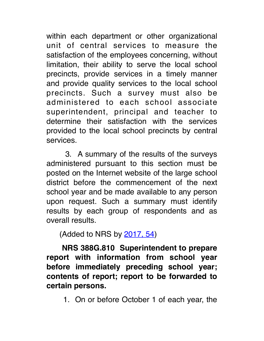within each department or other organizational unit of central services to measure the satisfaction of the employees concerning, without limitation, their ability to serve the local school precincts, provide services in a timely manner and provide quality services to the local school precincts. Such a survey must also be administered to each school associate superintendent, principal and teacher to determine their satisfaction with the services provided to the local school precincts by central services.

 3. A summary of the results of the surveys administered pursuant to this section must be posted on the Internet website of the large school district before the commencement of the next school year and be made available to any person upon request. Such a summary must identify results by each group of respondents and as overall results.

(Added to NRS by  $2017, 54$ )

 **NRS 388G.810 Superintendent to prepare report with information from school year before immediately preceding school year; contents of report; report to be forwarded to certain persons.**

1. On or before October 1 of each year, the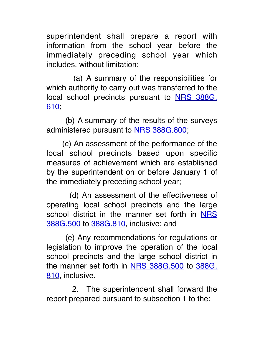superintendent shall prepare a report with information from the school year before the immediately preceding school year which includes, without limitation:

 (a) A summary of the responsibilities for which authority to carry out was transferred to the local school precincts pursuant to **NRS 388G**. 610;

 (b) A summary of the results of the surveys administered pursuant to NRS 388G.800;

 (c) An assessment of the performance of the local school precincts based upon specific measures of achievement which are established by the superintendent on or before January 1 of the immediately preceding school year;

 (d) An assessment of the effectiveness of operating local school precincts and the large school district in the manner set forth in NRS 388G.500 to 388G.810, inclusive; and

 (e) Any recommendations for regulations or legislation to improve the operation of the local school precincts and the large school district in the manner set forth in NRS 388G.500 to 388G. 810, inclusive.

 2. The superintendent shall forward the report prepared pursuant to subsection 1 to the: